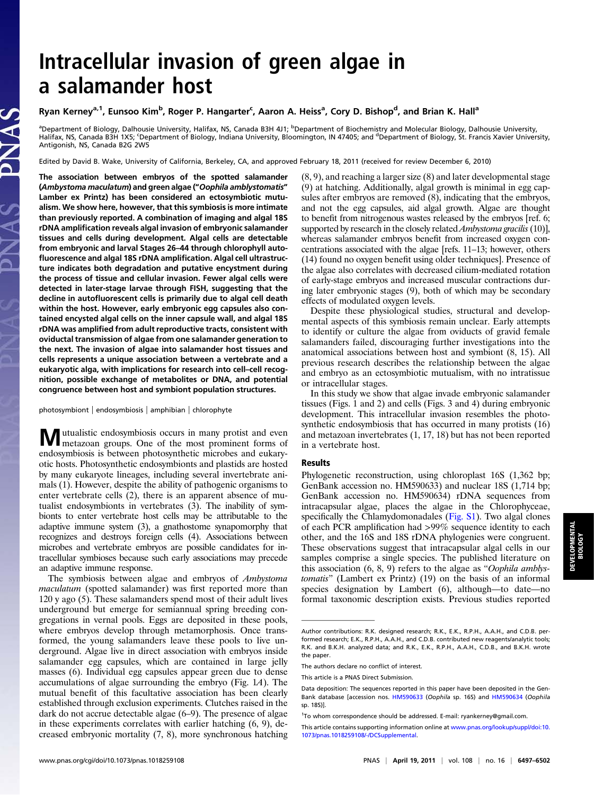# Intracellular invasion of green algae in a salamander host

# Ryan Kerney<sup>a, 1</sup>, Eunsoo Kim<sup>b</sup>, Roger P. Hangarter<sup>c</sup>, Aaron A. Heiss<sup>a</sup>, Cory D. Bishop<sup>d</sup>, and Brian K. Hall<sup>a</sup>

<sup>a</sup>Department of Biology, Dalhousie University, Halifax, NS, Canada B3H 4J1; <sup>b</sup>Department of Biochemistry and Molecular Biology, Dalhousie University,<br>Halifax, NS, Canada B3H 1X5; ʿDepartment of Biology, Indiana Universit Antigonish, NS, Canada B2G 2W5

Edited by David B. Wake, University of California, Berkeley, CA, and approved February 18, 2011 (received for review December 6, 2010)

The association between embryos of the spotted salamander (Ambystoma maculatum) and green algae ("Oophila amblystomatis" Lamber ex Printz) has been considered an ectosymbiotic mutualism. We show here, however, that this symbiosis is more intimate than previously reported. A combination of imaging and algal 18S rDNA amplification reveals algal invasion of embryonic salamander tissues and cells during development. Algal cells are detectable from embryonic and larval Stages 26–44 through chlorophyll autofluorescence and algal 18S rDNA amplification. Algal cell ultrastructure indicates both degradation and putative encystment during the process of tissue and cellular invasion. Fewer algal cells were detected in later-stage larvae through FISH, suggesting that the decline in autofluorescent cells is primarily due to algal cell death within the host. However, early embryonic egg capsules also contained encysted algal cells on the inner capsule wall, and algal 18S rDNA was amplified from adult reproductive tracts, consistent with oviductal transmission of algae from one salamander generation to the next. The invasion of algae into salamander host tissues and cells represents a unique association between a vertebrate and a eukaryotic alga, with implications for research into cell–cell recognition, possible exchange of metabolites or DNA, and potential congruence between host and symbiont population structures.

photosymbiont | endosymbiosis | amphibian | chlorophyte

Mutualistic endosymbiosis occurs in many protist and even metazoan groups. One of the most prominent forms of endosymbiosis is between photosynthetic microbes and eukaryotic hosts. Photosynthetic endosymbionts and plastids are hosted by many eukaryote lineages, including several invertebrate animals (1). However, despite the ability of pathogenic organisms to enter vertebrate cells (2), there is an apparent absence of mutualist endosymbionts in vertebrates (3). The inability of symbionts to enter vertebrate host cells may be attributable to the adaptive immune system (3), a gnathostome synapomorphy that recognizes and destroys foreign cells (4). Associations between microbes and vertebrate embryos are possible candidates for intracellular symbioses because such early associations may precede an adaptive immune response.

The symbiosis between algae and embryos of Ambystoma maculatum (spotted salamander) was first reported more than 120 y ago (5). These salamanders spend most of their adult lives underground but emerge for semiannual spring breeding congregations in vernal pools. Eggs are deposited in these pools, where embryos develop through metamorphosis. Once transformed, the young salamanders leave these pools to live underground. Algae live in direct association with embryos inside salamander egg capsules, which are contained in large jelly masses (6). Individual egg capsules appear green due to dense accumulations of algae surrounding the embryo (Fig. 1A). The mutual benefit of this facultative association has been clearly established through exclusion experiments. Clutches raised in the dark do not accrue detectable algae (6–9). The presence of algae in these experiments correlates with earlier hatching (6, 9), decreased embryonic mortality (7, 8), more synchronous hatching

(8, 9), and reaching a larger size (8) and later developmental stage (9) at hatching. Additionally, algal growth is minimal in egg capsules after embryos are removed (8), indicating that the embryos, and not the egg capsules, aid algal growth. Algae are thought to benefit from nitrogenous wastes released by the embryos [ref. 6; supported by research in the closely related Ambystoma gracilis (10)], whereas salamander embryos benefit from increased oxygen concentrations associated with the algae [refs. 11–13; however, others (14) found no oxygen benefit using older techniques]. Presence of the algae also correlates with decreased cilium-mediated rotation of early-stage embryos and increased muscular contractions during later embryonic stages (9), both of which may be secondary effects of modulated oxygen levels.

Despite these physiological studies, structural and developmental aspects of this symbiosis remain unclear. Early attempts to identify or culture the algae from oviducts of gravid female salamanders failed, discouraging further investigations into the anatomical associations between host and symbiont (8, 15). All previous research describes the relationship between the algae and embryo as an ectosymbiotic mutualism, with no intratissue or intracellular stages.

In this study we show that algae invade embryonic salamander tissues (Figs. 1 and 2) and cells (Figs. 3 and 4) during embryonic development. This intracellular invasion resembles the photosynthetic endosymbiosis that has occurred in many protists (16) and metazoan invertebrates (1, 17, 18) but has not been reported in a vertebrate host.

## Results

Phylogenetic reconstruction, using chloroplast 16S (1,362 bp; GenBank accession no. HM590633) and nuclear 18S (1,714 bp; GenBank accession no. HM590634) rDNA sequences from intracapsular algae, places the algae in the Chlorophyceae, specifically the Chlamydomonadales [\(Fig. S1\)](http://www.pnas.org/lookup/suppl/doi:10.1073/pnas.1018259108/-/DCSupplemental/pnas.201018259SI.pdf?targetid=nameddest=SF1). Two algal clones of each PCR amplification had >99% sequence identity to each other, and the 16S and 18S rDNA phylogenies were congruent. These observations suggest that intracapsular algal cells in our samples comprise a single species. The published literature on this association (6, 8, 9) refers to the algae as "Oophila amblystomatis" (Lambert ex Printz) (19) on the basis of an informal species designation by Lambert (6), although—to date—no formal taxonomic description exists. Previous studies reported

Author contributions: R.K. designed research; R.K., E.K., R.P.H., A.A.H., and C.D.B. performed research; E.K., R.P.H., A.A.H., and C.D.B. contributed new reagents/analytic tools; R.K. and B.K.H. analyzed data; and R.K., E.K., R.P.H., A.A.H., C.D.B., and B.K.H. wrote the paper.

The authors declare no conflict of interest.

This article is a PNAS Direct Submission.

Data deposition: The sequences reported in this paper have been deposited in the Gen-Bank database [accession nos. [HM590633](http://www.pnas.org/external-ref?link_type=GEN&access_num=HM590633) (Oophila sp. 16S) and [HM590634](http://www.pnas.org/external-ref?link_type=GEN&access_num=HM590634) (Oophila sp. 18S)].

<sup>&</sup>lt;sup>1</sup>To whom correspondence should be addressed. E-mail: [ryankerney@gmail.com](mailto:ryankerney@gmail.com).

This article contains supporting information online at [www.pnas.org/lookup/suppl/doi:10.](http://www.pnas.org/lookup/suppl/doi:10.1073/pnas.1018259108/-/DCSupplemental) [1073/pnas.1018259108/-/DCSupplemental](http://www.pnas.org/lookup/suppl/doi:10.1073/pnas.1018259108/-/DCSupplemental).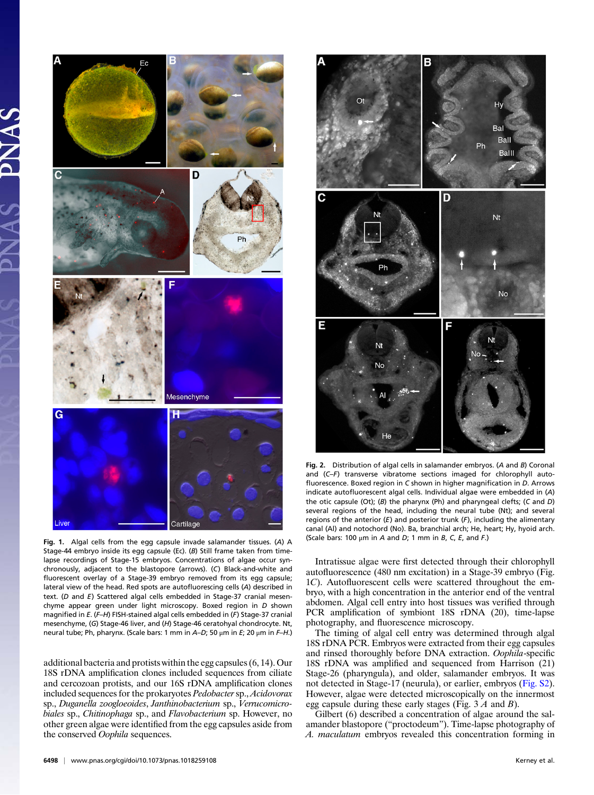

Fig. 1. Algal cells from the egg capsule invade salamander tissues. (A) A Stage-44 embryo inside its egg capsule (Ec). (B) Still frame taken from timelapse recordings of Stage-15 embryos. Concentrations of algae occur synchronously, adjacent to the blastopore (arrows). (C) Black-and-white and fluorescent overlay of a Stage-39 embryo removed from its egg capsule; lateral view of the head. Red spots are autofluorescing cells (A) described in text. (D and E) Scattered algal cells embedded in Stage-37 cranial mesenchyme appear green under light microscopy. Boxed region in D shown magnified in E. (F-H) FISH-stained algal cells embedded in (F) Stage-37 cranial mesenchyme, (G) Stage-46 liver, and (H) Stage-46 ceratohyal chondrocyte. Nt, neural tube; Ph, pharynx. (Scale bars: 1 mm in  $A-D$ ; 50  $\mu$ m in E; 20  $\mu$ m in F-H.)

additional bacteria and protists within the egg capsules (6, 14). Our 18S rDNA amplification clones included sequences from ciliate and cercozoan protists, and our 16S rDNA amplification clones included sequences for the prokaryotes Pedobacter sp., Acidovorax sp., Duganella zoogloeoides, Janthinobacterium sp., Verrucomicrobiales sp., Chitinophaga sp., and Flavobacterium sp. However, no other green algae were identified from the egg capsules aside from the conserved Oophila sequences.



Fig. 2. Distribution of algal cells in salamander embryos. (A and B) Coronal and (C–F) transverse vibratome sections imaged for chlorophyll autofluorescence. Boxed region in C shown in higher magnification in D. Arrows indicate autofluorescent algal cells. Individual algae were embedded in (A) the otic capsule (Ot); (B) the pharynx (Ph) and pharyngeal clefts; (C and D) several regions of the head, including the neural tube (Nt); and several regions of the anterior  $(E)$  and posterior trunk  $(F)$ , including the alimentary canal (Al) and notochord (No). Ba, branchial arch; He, heart; Hy, hyoid arch. (Scale bars: 100  $\mu$ m in A and D; 1 mm in B, C, E, and F.)

Intratissue algae were first detected through their chlorophyll autofluorescence (480 nm excitation) in a Stage-39 embryo (Fig. 1C). Autofluorescent cells were scattered throughout the embryo, with a high concentration in the anterior end of the ventral abdomen. Algal cell entry into host tissues was verified through PCR amplification of symbiont 18S rDNA (20), time-lapse photography, and fluorescence microscopy.

The timing of algal cell entry was determined through algal 18S rDNA PCR. Embryos were extracted from their egg capsules and rinsed thoroughly before DNA extraction. Oophila-specific 18S rDNA was amplified and sequenced from Harrison (21) Stage-26 (pharyngula), and older, salamander embryos. It was not detected in Stage-17 (neurula), or earlier, embryos ([Fig. S2\)](http://www.pnas.org/lookup/suppl/doi:10.1073/pnas.1018259108/-/DCSupplemental/pnas.201018259SI.pdf?targetid=nameddest=SF2). However, algae were detected microscopically on the innermost egg capsule during these early stages (Fig.  $3 \land A$  and  $B$ ).

Gilbert (6) described a concentration of algae around the salamander blastopore ("proctodeum"). Time-lapse photography of A. maculatum embryos revealed this concentration forming in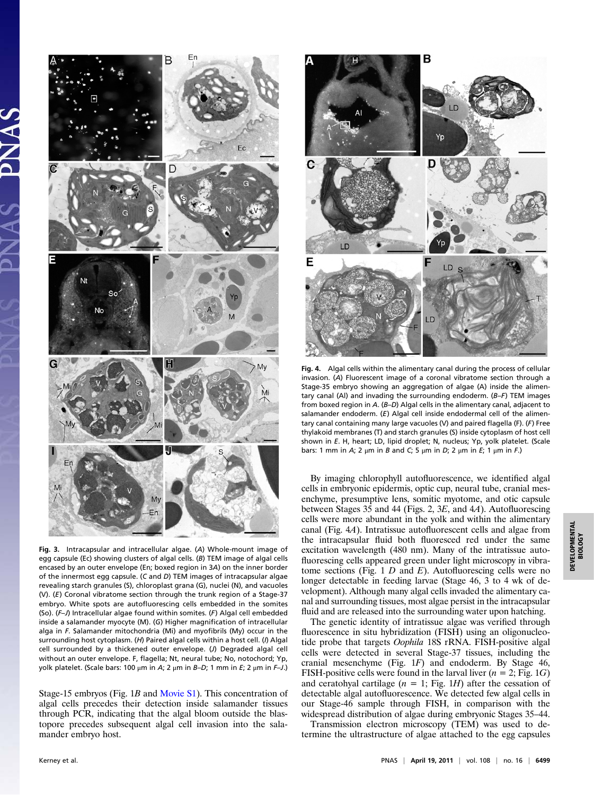

Fig. 3. Intracapsular and intracellular algae. (A) Whole-mount image of egg capsule (Ec) showing clusters of algal cells. (B) TEM image of algal cells encased by an outer envelope (En; boxed region in 3A) on the inner border of the innermost egg capsule. (C and D) TEM images of intracapsular algae revealing starch granules (S), chloroplast grana (G), nuclei (N), and vacuoles (V). (E) Coronal vibratome section through the trunk region of a Stage-37 embryo. White spots are autofluorescing cells embedded in the somites (So). (F–J) Intracellular algae found within somites. (F) Algal cell embedded inside a salamander myocyte (M). (G) Higher magnification of intracellular alga in F. Salamander mitochondria (Mi) and myofibrils (My) occur in the surrounding host cytoplasm. (H) Paired algal cells within a host cell. (I) Algal cell surrounded by a thickened outer envelope. (J) Degraded algal cell without an outer envelope. F, flagella; Nt, neural tube; No, notochord; Yp, yolk platelet. (Scale bars: 100 μm in A; 2 μm in B-D; 1 mm in E; 2 μm in F-J.)

Stage-15 embryos (Fig. 1B and [Movie S1\)](http://www.pnas.org/lookup/suppl/doi:10.1073/pnas.1018259108/-/DCSupplemental/sm01.mp4). This concentration of algal cells precedes their detection inside salamander tissues through PCR, indicating that the algal bloom outside the blastopore precedes subsequent algal cell invasion into the salamander embryo host.



Fig. 4. Algal cells within the alimentary canal during the process of cellular invasion. (A) Fluorescent image of a coronal vibratome section through a Stage-35 embryo showing an aggregation of algae (A) inside the alimentary canal (Al) and invading the surrounding endoderm. (B–F) TEM images from boxed region in A. (B–D) Algal cells in the alimentary canal, adjacent to salamander endoderm. (E) Algal cell inside endodermal cell of the alimentary canal containing many large vacuoles (V) and paired flagella (F). (F) Free thylakoid membranes (T) and starch granules (S) inside cytoplasm of host cell shown in E. H, heart; LD, lipid droplet; N, nucleus; Yp, yolk platelet. (Scale bars: 1 mm in A; 2 μm in B and C; 5 μm in D; 2 μm in E; 1 μm in F.)

By imaging chlorophyll autofluorescence, we identified algal cells in embryonic epidermis, optic cup, neural tube, cranial mesenchyme, presumptive lens, somitic myotome, and otic capsule between Stages 35 and 44 (Figs. 2, 3E, and 4A). Autofluorescing cells were more abundant in the yolk and within the alimentary canal (Fig. 4A). Intratissue autofluorescent cells and algae from the intracapsular fluid both fluoresced red under the same excitation wavelength (480 nm). Many of the intratissue autofluorescing cells appeared green under light microscopy in vibratome sections (Fig.  $1 D$  and  $E$ ). Autofluorescing cells were no longer detectable in feeding larvae (Stage 46, 3 to 4 wk of development). Although many algal cells invaded the alimentary canal and surrounding tissues, most algae persist in the intracapsular fluid and are released into the surrounding water upon hatching.

The genetic identity of intratissue algae was verified through fluorescence in situ hybridization (FISH) using an oligonucleotide probe that targets Oophila 18S rRNA. FISH-positive algal cells were detected in several Stage-37 tissues, including the cranial mesenchyme (Fig. 1F) and endoderm. By Stage 46, FISH-positive cells were found in the larval liver ( $n = 2$ ; Fig. 1G) and ceratohyal cartilage  $(n = 1; Fig. 1H)$  after the cessation of detectable algal autofluorescence. We detected few algal cells in our Stage-46 sample through FISH, in comparison with the widespread distribution of algae during embryonic Stages 35–44.

Transmission electron microscopy (TEM) was used to determine the ultrastructure of algae attached to the egg capsules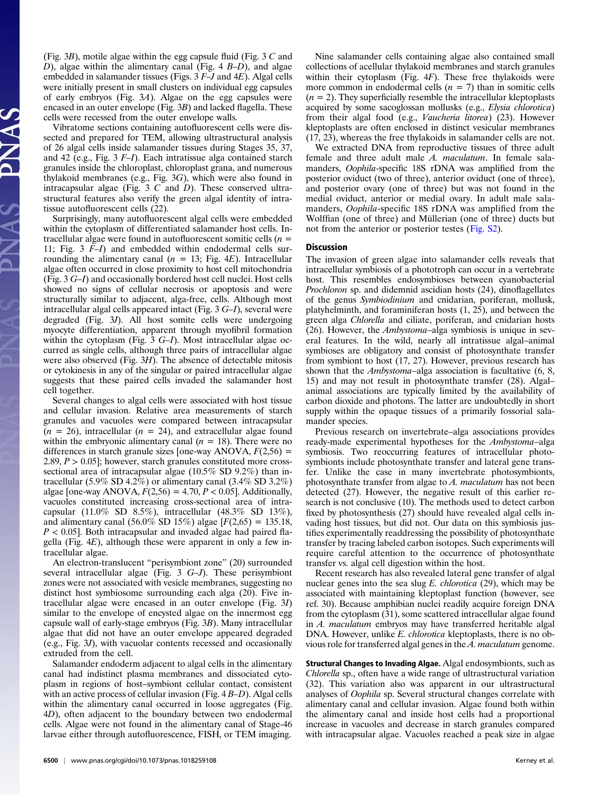(Fig. 3B), motile algae within the egg capsule fluid (Fig. 3 C and D), algae within the alimentary canal (Fig.  $4 B-D$ ), and algae embedded in salamander tissues (Figs. 3 F–J and 4E). Algal cells were initially present in small clusters on individual egg capsules of early embryos (Fig. 3A). Algae on the egg capsules were encased in an outer envelope (Fig. 3B) and lacked flagella. These cells were recessed from the outer envelope walls.

Vibratome sections containing autofluorescent cells were dissected and prepared for TEM, allowing ultrastructural analysis of 26 algal cells inside salamander tissues during Stages 35, 37, and 42 (e.g., Fig. 3 F–I). Each intratissue alga contained starch granules inside the chloroplast, chloroplast grana, and numerous thylakoid membranes (e.g., Fig. 3G), which were also found in intracapsular algae (Fig.  $3 \, C$  and  $D$ ). These conserved ultrastructural features also verify the green algal identity of intratissue autofluorescent cells (22).

Surprisingly, many autofluorescent algal cells were embedded within the cytoplasm of differentiated salamander host cells. Intracellular algae were found in autofluorescent somitic cells  $(n =$ 11; Fig. 3 F–I) and embedded within endodermal cells surrounding the alimentary canal ( $n = 13$ ; Fig. 4E). Intracellular algae often occurred in close proximity to host cell mitochondria (Fig. 3 G–I) and occasionally bordered host cell nuclei. Host cells showed no signs of cellular necrosis or apoptosis and were structurally similar to adjacent, alga-free, cells. Although most intracellular algal cells appeared intact (Fig. 3 G–I), several were degraded (Fig. 3J). All host somite cells were undergoing myocyte differentiation, apparent through myofibril formation within the cytoplasm (Fig. 3 G-I). Most intracellular algae occurred as single cells, although three pairs of intracellular algae were also observed (Fig. 3H). The absence of detectable mitosis or cytokinesis in any of the singular or paired intracellular algae suggests that these paired cells invaded the salamander host cell together.

Several changes to algal cells were associated with host tissue and cellular invasion. Relative area measurements of starch granules and vacuoles were compared between intracapsular  $(n = 26)$ , intracellular  $(n = 24)$ , and extracellular algae found within the embryonic alimentary canal  $(n = 18)$ . There were no differences in starch granule sizes [one-way ANOVA,  $F(2,56) =$ 2.89,  $P > 0.05$ ; however, starch granules constituted more crosssectional area of intracapsular algae (10.5% SD 9.2%) than intracellular  $(5.9\%$  SD 4.2%) or alimentary canal  $(3.4\%$  SD 3.2%) algae [one-way ANOVA,  $F(2,56) = 4.70$ ,  $P < 0.05$ ]. Additionally, vacuoles constituted increasing cross-sectional area of intracapsular (11.0% SD 8.5%), intracellular (48.3% SD 13%), and alimentary canal (56.0% SD 15%) algae  $[F(2,65) = 135.18]$ ,  $P < 0.05$ ]. Both intracapsular and invaded algae had paired flagella (Fig.  $4E$ ), although these were apparent in only a few intracellular algae.

An electron-translucent "perisymbiont zone" (20) surrounded several intracellular algae (Fig. 3 G–J). These perisymbiont zones were not associated with vesicle membranes, suggesting no distinct host symbiosome surrounding each alga (20). Five intracellular algae were encased in an outer envelope (Fig. 3I) similar to the envelope of encysted algae on the innermost egg capsule wall of early-stage embryos (Fig. 3B). Many intracellular algae that did not have an outer envelope appeared degraded (e.g., Fig. 3J), with vacuolar contents recessed and occasionally extruded from the cell.

Salamander endoderm adjacent to algal cells in the alimentary canal had indistinct plasma membranes and dissociated cytoplasm in regions of host–symbiont cellular contact, consistent with an active process of cellular invasion (Fig. 4 B–D). Algal cells within the alimentary canal occurred in loose aggregates (Fig. 4D), often adjacent to the boundary between two endodermal cells. Algae were not found in the alimentary canal of Stage-46 larvae either through autofluorescence, FISH, or TEM imaging.

6500 | <www.pnas.org/cgi/doi/10.1073/pnas.1018259108> Kerney et al.

Nine salamander cells containing algae also contained small collections of acellular thylakoid membranes and starch granules within their cytoplasm (Fig. 4F). These free thylakoids were more common in endodermal cells  $(n = 7)$  than in somitic cells  $(n = 2)$ . They superficially resemble the intracellular kleptoplasts acquired by some sacoglossan mollusks (e.g., Elysia chlorotica) from their algal food (e.g., Vaucheria litorea) (23). However kleptoplasts are often enclosed in distinct vesicular membranes (17, 23), whereas the free thylakoids in salamander cells are not.

We extracted DNA from reproductive tissues of three adult female and three adult male A. maculatum. In female salamanders, Oophila-specific 18S rDNA was amplified from the posterior oviduct (two of three), anterior oviduct (one of three), and posterior ovary (one of three) but was not found in the medial oviduct, anterior or medial ovary. In adult male salamanders, Oophila-specific 18S rDNA was amplified from the Wolffian (one of three) and Müllerian (one of three) ducts but not from the anterior or posterior testes ([Fig. S2\)](http://www.pnas.org/lookup/suppl/doi:10.1073/pnas.1018259108/-/DCSupplemental/pnas.201018259SI.pdf?targetid=nameddest=SF2).

#### Discussion

The invasion of green algae into salamander cells reveals that intracellular symbiosis of a phototroph can occur in a vertebrate host. This resembles endosymbioses between cyanobacterial Prochloron sp. and didemnid ascidian hosts (24), dinoflagellates of the genus Symbiodinium and cnidarian, poriferan, mollusk, platyhelminth, and foraminiferan hosts  $(1, 25)$ , and between the green alga Chlorella and ciliate, poriferan, and cnidarian hosts (26). However, the Ambystoma–alga symbiosis is unique in several features. In the wild, nearly all intratissue algal–animal symbioses are obligatory and consist of photosynthate transfer from symbiont to host (17, 27). However, previous research has shown that the Ambystoma-alga association is facultative (6, 8, 15) and may not result in photosynthate transfer (28). Algal– animal associations are typically limited by the availability of carbon dioxide and photons. The latter are undoubtedly in short supply within the opaque tissues of a primarily fossorial salamander species.

Previous research on invertebrate–alga associations provides ready-made experimental hypotheses for the Ambystoma–alga symbiosis. Two reoccurring features of intracellular photosymbionts include photosynthate transfer and lateral gene transfer. Unlike the case in many invertebrate photosymbionts, photosynthate transfer from algae to A. maculatum has not been detected (27). However, the negative result of this earlier research is not conclusive (10). The methods used to detect carbon fixed by photosynthesis (27) should have revealed algal cells invading host tissues, but did not. Our data on this symbiosis justifies experimentally readdressing the possibility of photosynthate transfer by tracing labeled carbon isotopes. Such experiments will require careful attention to the occurrence of photosynthate transfer vs. algal cell digestion within the host.

Recent research has also revealed lateral gene transfer of algal nuclear genes into the sea slug  $E$ . *chlorotica* (29), which may be associated with maintaining kleptoplast function (however, see ref. 30). Because amphibian nuclei readily acquire foreign DNA from the cytoplasm (31), some scattered intracellular algae found in A. maculatum embryos may have transferred heritable algal DNA. However, unlike E. chlorotica kleptoplasts, there is no obvious role for transferred algal genes in the A. maculatum genome.

Structural Changes to Invading Algae. Algal endosymbionts, such as Chlorella sp., often have a wide range of ultrastructural variation (32). This variation also was apparent in our ultrastructural analyses of Oophila sp. Several structural changes correlate with alimentary canal and cellular invasion. Algae found both within the alimentary canal and inside host cells had a proportional increase in vacuoles and decrease in starch granules compared with intracapsular algae. Vacuoles reached a peak size in algae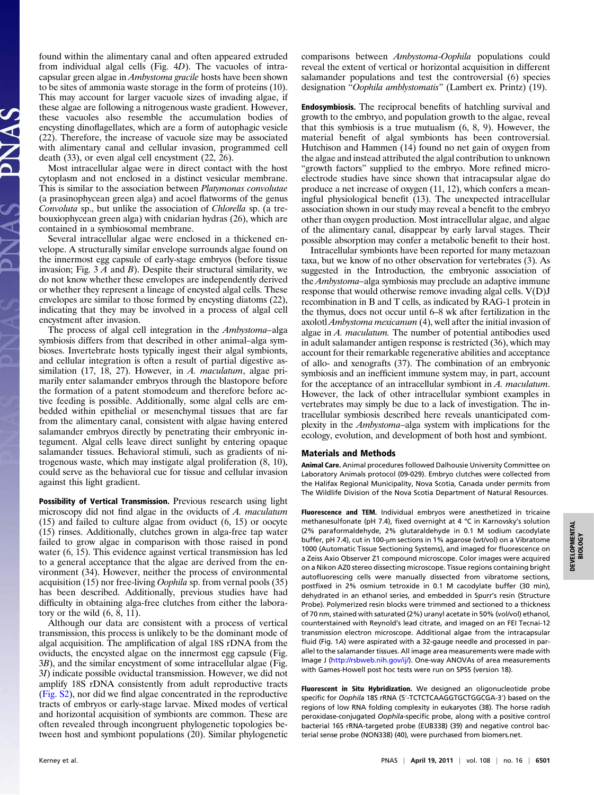found within the alimentary canal and often appeared extruded from individual algal cells (Fig. 4D). The vacuoles of intracapsular green algae in Ambystoma gracile hosts have been shown to be sites of ammonia waste storage in the form of proteins (10). This may account for larger vacuole sizes of invading algae, if these algae are following a nitrogenous waste gradient. However, these vacuoles also resemble the accumulation bodies of encysting dinoflagellates, which are a form of autophagic vesicle (22). Therefore, the increase of vacuole size may be associated with alimentary canal and cellular invasion, programmed cell death (33), or even algal cell encystment (22, 26).

Most intracellular algae were in direct contact with the host cytoplasm and not enclosed in a distinct vesicular membrane. This is similar to the association between Platymonas convolutae (a prasinophycean green alga) and acoel flatworms of the genus Convoluta sp., but unlike the association of Chlorella sp. (a trebouxiophycean green alga) with cnidarian hydras (26), which are contained in a symbiosomal membrane.

Several intracellular algae were enclosed in a thickened envelope. A structurally similar envelope surrounds algae found on the innermost egg capsule of early-stage embryos (before tissue invasion; Fig.  $3 \land A$  and  $B$ ). Despite their structural similarity, we do not know whether these envelopes are independently derived or whether they represent a lineage of encysted algal cells. These envelopes are similar to those formed by encysting diatoms (22), indicating that they may be involved in a process of algal cell encystment after invasion.

The process of algal cell integration in the Ambystoma–alga symbiosis differs from that described in other animal–alga symbioses. Invertebrate hosts typically ingest their algal symbionts, and cellular integration is often a result of partial digestive assimilation (17, 18, 27). However, in A. maculatum, algae primarily enter salamander embryos through the blastopore before the formation of a patent stomodeum and therefore before active feeding is possible. Additionally, some algal cells are embedded within epithelial or mesenchymal tissues that are far from the alimentary canal, consistent with algae having entered salamander embryos directly by penetrating their embryonic integument. Algal cells leave direct sunlight by entering opaque salamander tissues. Behavioral stimuli, such as gradients of nitrogenous waste, which may instigate algal proliferation (8, 10), could serve as the behavioral cue for tissue and cellular invasion against this light gradient.

**Possibility of Vertical Transmission.** Previous research using light microscopy did not find algae in the oviducts of A. maculatum (15) and failed to culture algae from oviduct (6, 15) or oocyte (15) rinses. Additionally, clutches grown in alga-free tap water failed to grow algae in comparison with those raised in pond water (6, 15). This evidence against vertical transmission has led to a general acceptance that the algae are derived from the environment (34). However, neither the process of environmental acquisition (15) nor free-living Oophila sp. from vernal pools (35) has been described. Additionally, previous studies have had difficulty in obtaining alga-free clutches from either the laboratory or the wild  $(6, 8, 11)$ .

Although our data are consistent with a process of vertical transmission, this process is unlikely to be the dominant mode of algal acquisition. The amplification of algal 18S rDNA from the oviducts, the encysted algae on the innermost egg capsule (Fig. 3B), and the similar encystment of some intracellular algae (Fig. 3I) indicate possible oviductal transmission. However, we did not amplify 18S rDNA consistently from adult reproductive tracts ([Fig. S2](http://www.pnas.org/lookup/suppl/doi:10.1073/pnas.1018259108/-/DCSupplemental/pnas.201018259SI.pdf?targetid=nameddest=SF2)), nor did we find algae concentrated in the reproductive tracts of embryos or early-stage larvae. Mixed modes of vertical and horizontal acquisition of symbionts are common. These are often revealed through incongruent phylogenetic topologies between host and symbiont populations (20). Similar phylogenetic comparisons between Ambystoma-Oophila populations could reveal the extent of vertical or horizontal acquisition in different salamander populations and test the controversial (6) species designation "Oophila amblystomatis" (Lambert ex. Printz) (19).

Endosymbiosis. The reciprocal benefits of hatchling survival and growth to the embryo, and population growth to the algae, reveal that this symbiosis is a true mutualism (6, 8, 9). However, the material benefit of algal symbionts has been controversial. Hutchison and Hammen (14) found no net gain of oxygen from the algae and instead attributed the algal contribution to unknown "growth factors" supplied to the embryo. More refined microelectrode studies have since shown that intracapsular algae do produce a net increase of oxygen (11, 12), which confers a meaningful physiological benefit (13). The unexpected intracellular association shown in our study may reveal a benefit to the embryo other than oxygen production. Most intracellular algae, and algae of the alimentary canal, disappear by early larval stages. Their possible absorption may confer a metabolic benefit to their host.

Intracellular symbionts have been reported for many metazoan taxa, but we know of no other observation for vertebrates (3). As suggested in the Introduction, the embryonic association of the Ambystoma–alga symbiosis may preclude an adaptive immune response that would otherwise remove invading algal cells. V(D)J recombination in B and T cells, as indicated by RAG-1 protein in the thymus, does not occur until 6–8 wk after fertilization in the axolotl Ambystoma mexicanum (4), well after the initial invasion of algae in A. maculatum. The number of potential antibodies used in adult salamander antigen response is restricted (36), which may account for their remarkable regenerative abilities and acceptance of allo- and xenografts (37). The combination of an embryonic symbiosis and an inefficient immune system may, in part, account for the acceptance of an intracellular symbiont in A. maculatum. However, the lack of other intracellular symbiont examples in vertebrates may simply be due to a lack of investigation. The intracellular symbiosis described here reveals unanticipated complexity in the Ambystoma–alga system with implications for the ecology, evolution, and development of both host and symbiont.

### Materials and Methods

Animal Care. Animal procedures followed Dalhousie University Committee on Laboratory Animals protocol (09-029). Embryo clutches were collected from the Halifax Regional Municipality, Nova Scotia, Canada under permits from The Wildlife Division of the Nova Scotia Department of Natural Resources.

Fluorescence and TEM. Individual embryos were anesthetized in tricaine methanesulfonate (pH 7.4), fixed overnight at 4 °C in Karnovsky's solution (2% paraformaldehyde, 2% glutaraldehyde in 0.1 M sodium cacodylate buffer, pH 7.4), cut in 100-μm sections in 1% agarose (wt/vol) on a Vibratome 1000 (Automatic Tissue Sectioning Systems), and imaged for fluorescence on a Zeiss Axio Observer Z1 compound microscope. Color images were acquired on a Nikon AZ0 stereo dissecting microscope. Tissue regions containing bright autofluorescing cells were manually dissected from vibratome sections, postfixed in 2% osmium tetroxide in 0.1 M cacodylate buffer (30 min), dehydrated in an ethanol series, and embedded in Spurr's resin (Structure Probe). Polymerized resin blocks were trimmed and sectioned to a thickness of 70 nm, stained with saturated (2%) uranyl acetate in 50% (vol/vol) ethanol, counterstained with Reynold's lead citrate, and imaged on an FEI Tecnai-12 transmission electron microscope. Additional algae from the intracapsular fluid (Fig. 1A) were aspirated with a 32-gauge needle and processed in parallel to the salamander tissues. All image area measurements were made with Image J [\(http://rsbweb.nih.gov/ij/\)](http://rsbweb.nih.gov/ij/). One-way ANOVAs of area measurements with Games-Howell post hoc tests were run on SPSS (version 18).

Fluorescent in Situ Hybridization. We designed an oligonucleotide probe specific for Oophila 18S rRNA (5′-TCTCTCAAGGTGCTGGCGA-3′) based on the regions of low RNA folding complexity in eukaryotes (38). The horse radish peroxidase-conjugated Oophila-specific probe, along with a positive control bacterial 16S rRNA-targeted probe (EUB338) (39) and negative control bacterial sense probe (NON338) (40), were purchased from biomers.net.